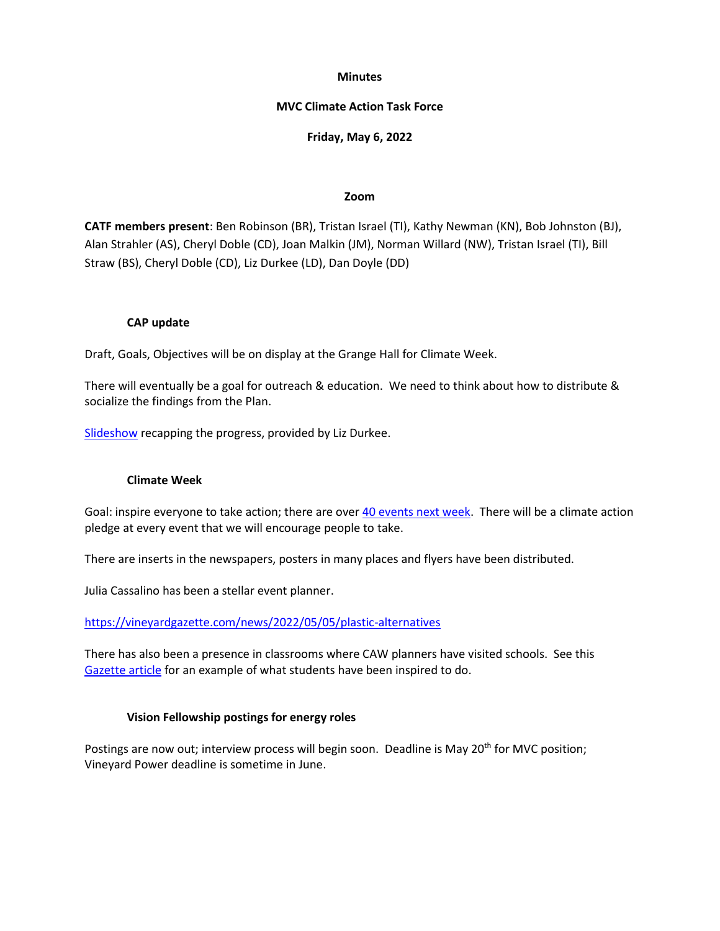#### **Minutes**

### **MVC Climate Action Task Force**

## **Friday, May 6, 2022**

### **Zoom**

**CATF members present**: Ben Robinson (BR), Tristan Israel (TI), Kathy Newman (KN), Bob Johnston (BJ), Alan Strahler (AS), Cheryl Doble (CD), Joan Malkin (JM), Norman Willard (NW), Tristan Israel (TI), Bill Straw (BS), Cheryl Doble (CD), Liz Durkee (LD), Dan Doyle (DD)

## **CAP update**

Draft, Goals, Objectives will be on display at the Grange Hall for Climate Week.

There will eventually be a goal for outreach & education. We need to think about how to distribute & socialize the findings from the Plan.

[Slideshow](https://www.mvcommission.org/document/capupdatecatf5622) recapping the progress, provided by Liz Durkee.

#### **Climate Week**

Goal: inspire everyone to take action; there are over [40 events next week.](https://www.thevineyardway.org/posts/event) There will be a climate action pledge at every event that we will encourage people to take.

There are inserts in the newspapers, posters in many places and flyers have been distributed.

Julia Cassalino has been a stellar event planner.

<https://vineyardgazette.com/news/2022/05/05/plastic-alternatives>

There has also been a presence in classrooms where CAW planners have visited schools. See this [Gazette article](https://vineyardgazette.com/news/2022/05/05/plastic-alternatives) for an example of what students have been inspired to do.

## **Vision Fellowship postings for energy roles**

Postings are now out; interview process will begin soon. Deadline is May 20<sup>th</sup> for MVC position; Vineyard Power deadline is sometime in June.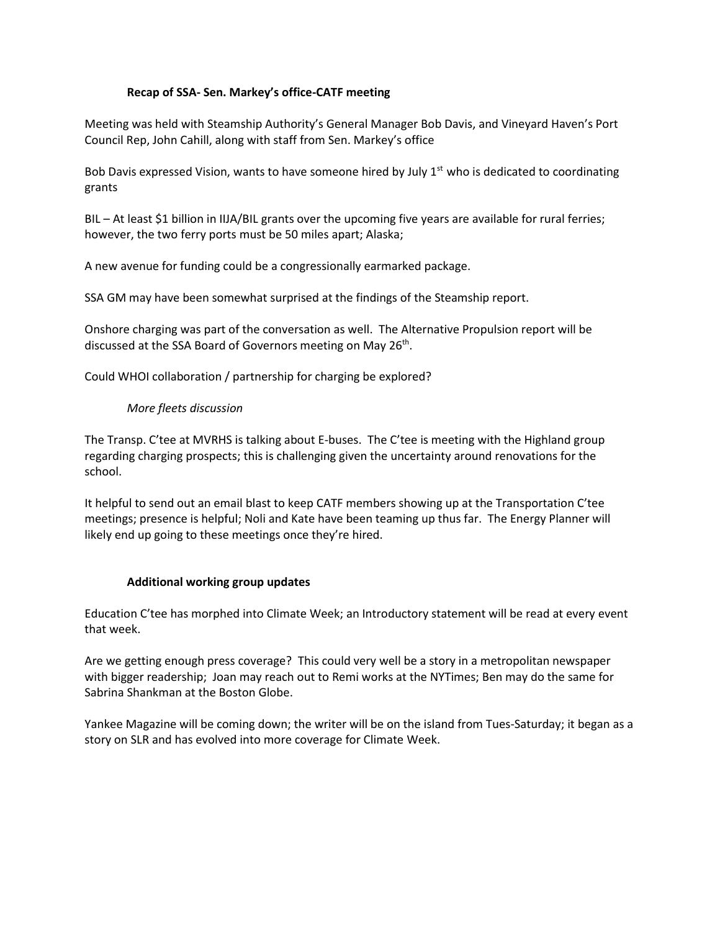# **Recap of SSA- Sen. Markey's office-CATF meeting**

Meeting was held with Steamship Authority's General Manager Bob Davis, and Vineyard Haven's Port Council Rep, John Cahill, along with staff from Sen. Markey's office

Bob Davis expressed Vision, wants to have someone hired by July  $1<sup>st</sup>$  who is dedicated to coordinating grants

BIL – At least \$1 billion in IIJA/BIL grants over the upcoming five years are available for rural ferries; however, the two ferry ports must be 50 miles apart; Alaska;

A new avenue for funding could be a congressionally earmarked package.

SSA GM may have been somewhat surprised at the findings of the Steamship report.

Onshore charging was part of the conversation as well. The Alternative Propulsion report will be discussed at the SSA Board of Governors meeting on May 26<sup>th</sup>.

Could WHOI collaboration / partnership for charging be explored?

# *More fleets discussion*

The Transp. C'tee at MVRHS is talking about E-buses. The C'tee is meeting with the Highland group regarding charging prospects; this is challenging given the uncertainty around renovations for the school.

It helpful to send out an email blast to keep CATF members showing up at the Transportation C'tee meetings; presence is helpful; Noli and Kate have been teaming up thus far. The Energy Planner will likely end up going to these meetings once they're hired.

## **Additional working group updates**

Education C'tee has morphed into Climate Week; an Introductory statement will be read at every event that week.

Are we getting enough press coverage? This could very well be a story in a metropolitan newspaper with bigger readership; Joan may reach out to Remi works at the NYTimes; Ben may do the same for Sabrina Shankman at the Boston Globe.

Yankee Magazine will be coming down; the writer will be on the island from Tues-Saturday; it began as a story on SLR and has evolved into more coverage for Climate Week.